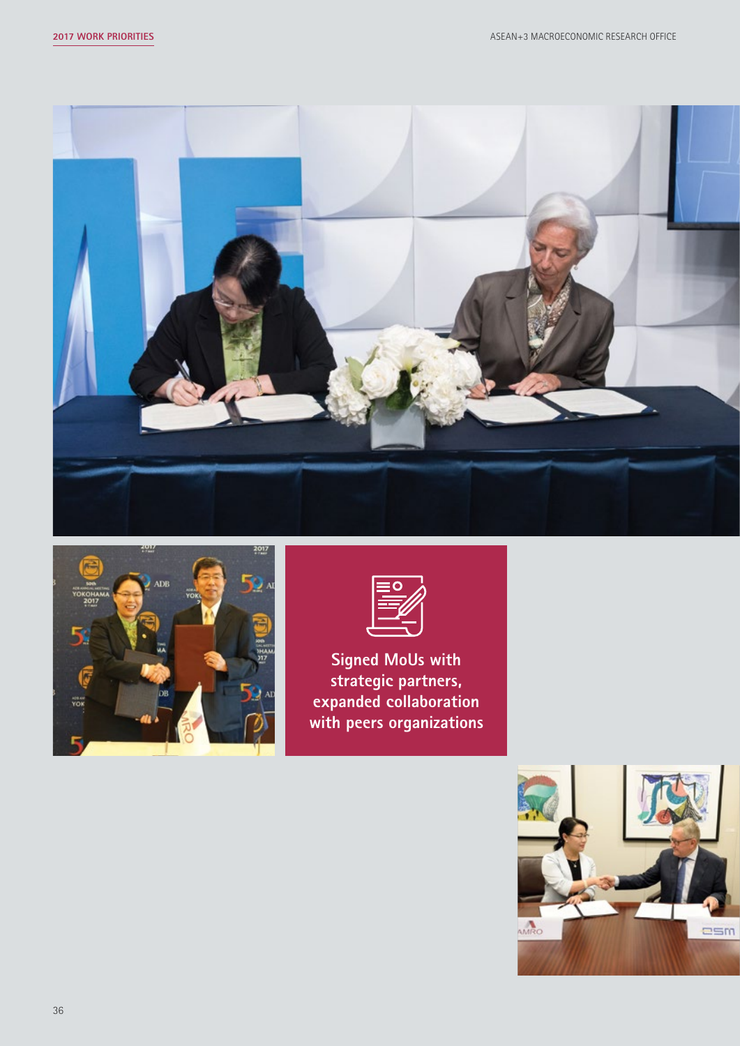





**Signed MoUs with strategic partners, expanded collaboration with peers organizations** 

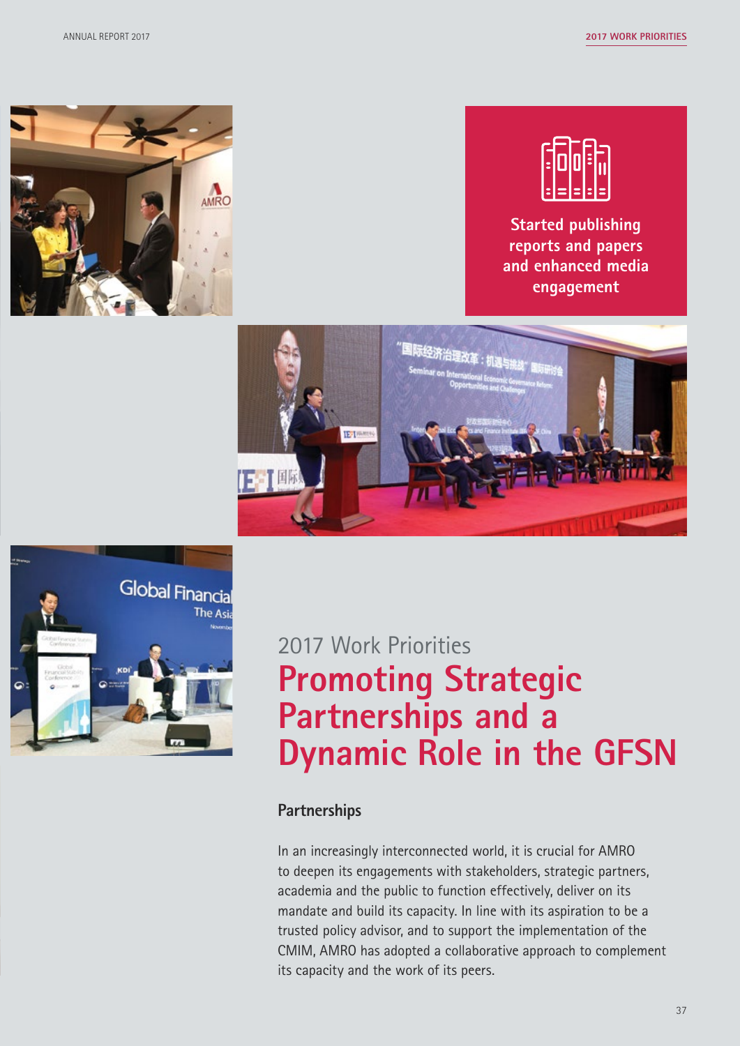



**Started publishing reports and papers and enhanced media engagement**





# 2017 Work Priorities **Promoting Strategic Partnerships and a Dynamic Role in the GFSN**

#### **Partnerships**

In an increasingly interconnected world, it is crucial for AMRO to deepen its engagements with stakeholders, strategic partners, academia and the public to function effectively, deliver on its mandate and build its capacity. In line with its aspiration to be a trusted policy advisor, and to support the implementation of the CMIM, AMRO has adopted a collaborative approach to complement its capacity and the work of its peers.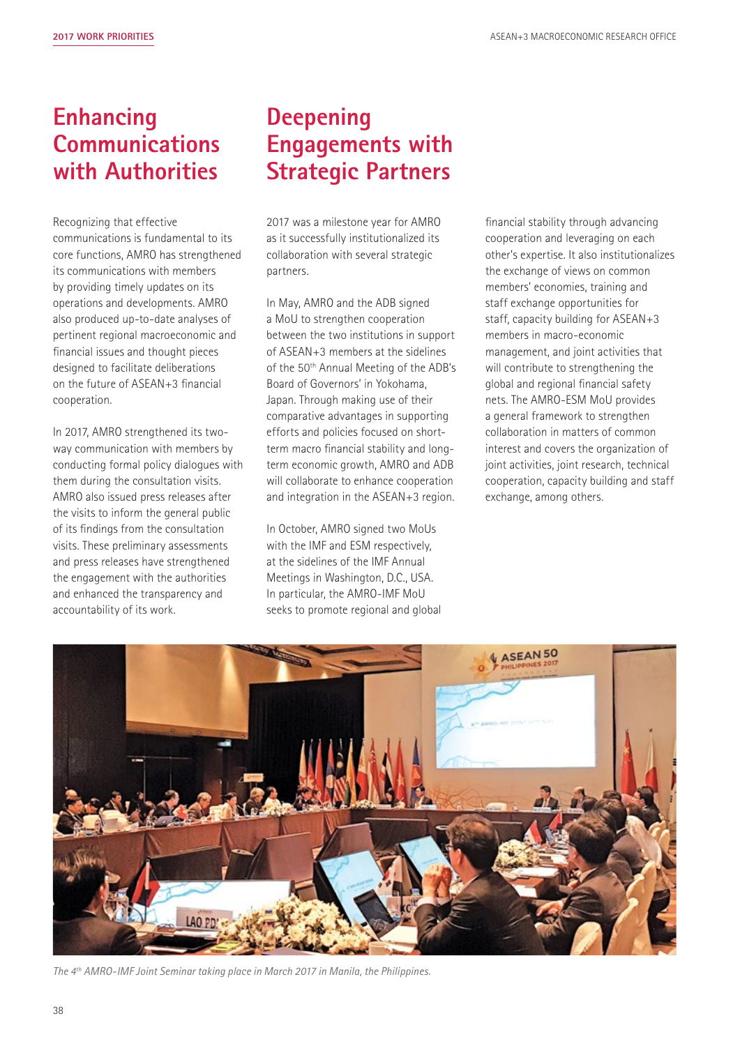# **Enhancing Communications with Authorities**

Recognizing that effective communications is fundamental to its core functions, AMRO has strengthened its communications with members by providing timely updates on its operations and developments. AMRO also produced up-to-date analyses of pertinent regional macroeconomic and financial issues and thought pieces designed to facilitate deliberations on the future of ASEAN+3 financial cooperation.

In 2017, AMRO strengthened its twoway communication with members by conducting formal policy dialogues with them during the consultation visits. AMRO also issued press releases after the visits to inform the general public of its findings from the consultation visits. These preliminary assessments and press releases have strengthened the engagement with the authorities and enhanced the transparency and accountability of its work.

# **Deepening Engagements with Strategic Partners**

2017 was a milestone year for AMRO as it successfully institutionalized its collaboration with several strategic partners.

In May, AMRO and the ADB signed a MoU to strengthen cooperation between the two institutions in support of ASEAN+3 members at the sidelines of the 50<sup>th</sup> Annual Meeting of the ADB's Board of Governors' in Yokohama, Japan. Through making use of their comparative advantages in supporting efforts and policies focused on shortterm macro financial stability and longterm economic growth, AMRO and ADB will collaborate to enhance cooperation and integration in the ASEAN+3 region.

In October, AMRO signed two MoUs with the IMF and ESM respectively, at the sidelines of the IMF Annual Meetings in Washington, D.C., USA. In particular, the AMRO-IMF MoU seeks to promote regional and global

financial stability through advancing cooperation and leveraging on each other's expertise. It also institutionalizes the exchange of views on common members' economies, training and staff exchange opportunities for staff, capacity building for ASEAN+3 members in macro-economic management, and joint activities that will contribute to strengthening the global and regional financial safety nets. The AMRO-ESM MoU provides a general framework to strengthen collaboration in matters of common interest and covers the organization of joint activities, joint research, technical cooperation, capacity building and staff exchange, among others.



*The 4th AMRO-IMF Joint Seminar taking place in March 2017 in Manila, the Philippines.*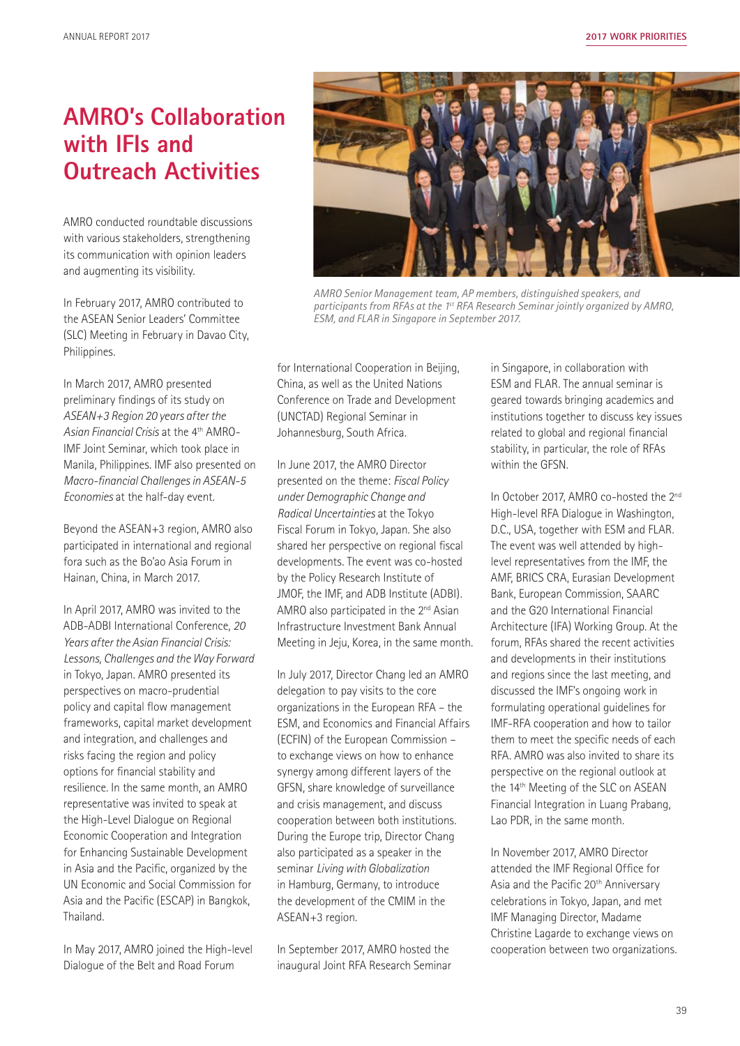### **AMRO's Collaboration with IFIs and Outreach Activities**

AMRO conducted roundtable discussions with various stakeholders, strengthening its communication with opinion leaders and augmenting its visibility.

In February 2017, AMRO contributed to the ASEAN Senior Leaders' Committee (SLC) Meeting in February in Davao City, Philippines.

In March 2017, AMRO presented preliminary findings of its study on *ASEAN+3 Region 20 years after the Asian Financial Crisis* at the 4th AMRO-IMF Joint Seminar, which took place in Manila, Philippines. IMF also presented on *Macro-financial Challenges in ASEAN-5 Economies* at the half-day event.

Beyond the ASEAN+3 region, AMRO also participated in international and regional fora such as the Bo'ao Asia Forum in Hainan, China, in March 2017.

In April 2017, AMRO was invited to the ADB-ADBI International Conference, *20 Years after the Asian Financial Crisis: Lessons, Challenges and the Way Forward* in Tokyo, Japan. AMRO presented its perspectives on macro-prudential policy and capital flow management frameworks, capital market development and integration, and challenges and risks facing the region and policy options for financial stability and resilience. In the same month, an AMRO representative was invited to speak at the High-Level Dialogue on Regional Economic Cooperation and Integration for Enhancing Sustainable Development in Asia and the Pacific, organized by the UN Economic and Social Commission for Asia and the Pacific (ESCAP) in Bangkok, Thailand.

In May 2017, AMRO joined the High-level Dialogue of the Belt and Road Forum



*AMRO Senior Management team, AP members, distinguished speakers, and participants from RFAs at the 1st RFA Research Seminar jointly organized by AMRO, ESM, and FLAR in Singapore in September 2017.*

for International Cooperation in Beijing, China, as well as the United Nations Conference on Trade and Development (UNCTAD) Regional Seminar in Johannesburg, South Africa.

In June 2017, the AMRO Director presented on the theme: *Fiscal Policy under Demographic Change and Radical Uncertainties* at the Tokyo Fiscal Forum in Tokyo, Japan. She also shared her perspective on regional fiscal developments. The event was co-hosted by the Policy Research Institute of JMOF, the IMF, and ADB Institute (ADBI). AMRO also participated in the 2<sup>nd</sup> Asian Infrastructure Investment Bank Annual Meeting in Jeju, Korea, in the same month.

In July 2017, Director Chang led an AMRO delegation to pay visits to the core organizations in the European RFA – the ESM, and Economics and Financial Affairs (ECFIN) of the European Commission – to exchange views on how to enhance synergy among different layers of the GFSN, share knowledge of surveillance and crisis management, and discuss cooperation between both institutions. During the Europe trip, Director Chang also participated as a speaker in the seminar *Living with Globalization* in Hamburg, Germany, to introduce the development of the CMIM in the ASEAN+3 region.

In September 2017, AMRO hosted the inaugural Joint RFA Research Seminar in Singapore, in collaboration with ESM and FLAR. The annual seminar is geared towards bringing academics and institutions together to discuss key issues related to global and regional financial stability, in particular, the role of RFAs within the GFSN.

In October 2017, AMRO co-hosted the 2<sup>nd</sup> High-level RFA Dialogue in Washington, D.C., USA, together with ESM and FLAR. The event was well attended by highlevel representatives from the IMF, the AMF, BRICS CRA, Eurasian Development Bank, European Commission, SAARC and the G20 International Financial Architecture (IFA) Working Group. At the forum, RFAs shared the recent activities and developments in their institutions and regions since the last meeting, and discussed the IMF's ongoing work in formulating operational guidelines for IMF-RFA cooperation and how to tailor them to meet the specific needs of each RFA. AMRO was also invited to share its perspective on the regional outlook at the 14<sup>th</sup> Meeting of the SLC on ASEAN Financial Integration in Luang Prabang, Lao PDR, in the same month.

In November 2017, AMRO Director attended the IMF Regional Office for Asia and the Pacific 20<sup>th</sup> Anniversary celebrations in Tokyo, Japan, and met IMF Managing Director, Madame Christine Lagarde to exchange views on cooperation between two organizations.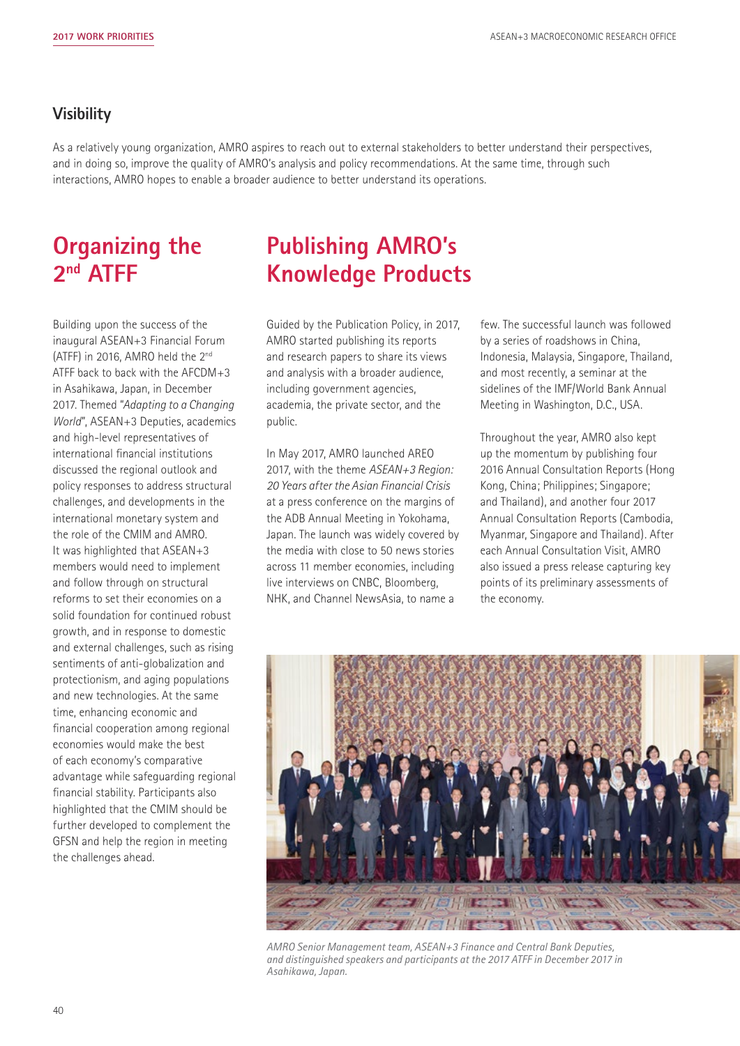#### **Visibility**

As a relatively young organization, AMRO aspires to reach out to external stakeholders to better understand their perspectives, and in doing so, improve the quality of AMRO's analysis and policy recommendations. At the same time, through such interactions, AMRO hopes to enable a broader audience to better understand its operations.

## **Organizing the 2nd ATFF**

Building upon the success of the inaugural ASEAN+3 Financial Forum (ATFF) in 2016, AMRO held the 2nd ATFF back to back with the AFCDM+3 in Asahikawa, Japan, in December 2017. Themed "*Adapting to a Changing World*", ASEAN+3 Deputies, academics and high-level representatives of international financial institutions discussed the regional outlook and policy responses to address structural challenges, and developments in the international monetary system and the role of the CMIM and AMRO. It was highlighted that ASEAN+3 members would need to implement and follow through on structural reforms to set their economies on a solid foundation for continued robust growth, and in response to domestic and external challenges, such as rising sentiments of anti-globalization and protectionism, and aging populations and new technologies. At the same time, enhancing economic and financial cooperation among regional economies would make the best of each economy's comparative advantage while safeguarding regional financial stability. Participants also highlighted that the CMIM should be further developed to complement the GFSN and help the region in meeting the challenges ahead.

# **Publishing AMRO's Knowledge Products**

Guided by the Publication Policy, in 2017, AMRO started publishing its reports and research papers to share its views and analysis with a broader audience, including government agencies, academia, the private sector, and the public.

In May 2017, AMRO launched AREO 2017, with the theme *ASEAN+3 Region: 20 Years after the Asian Financial Crisis* at a press conference on the margins of the ADB Annual Meeting in Yokohama, Japan. The launch was widely covered by the media with close to 50 news stories across 11 member economies, including live interviews on CNBC, Bloomberg, NHK, and Channel NewsAsia, to name a

few. The successful launch was followed by a series of roadshows in China, Indonesia, Malaysia, Singapore, Thailand, and most recently, a seminar at the sidelines of the IMF/World Bank Annual Meeting in Washington, D.C., USA.

Throughout the year, AMRO also kept up the momentum by publishing four 2016 Annual Consultation Reports (Hong Kong, China; Philippines; Singapore; and Thailand), and another four 2017 Annual Consultation Reports (Cambodia, Myanmar, Singapore and Thailand). After each Annual Consultation Visit, AMRO also issued a press release capturing key points of its preliminary assessments of the economy.



*AMRO Senior Management team, ASEAN+3 Finance and Central Bank Deputies, and distinguished speakers and participants at the 2017 ATFF in December 2017 in Asahikawa, Japan.*